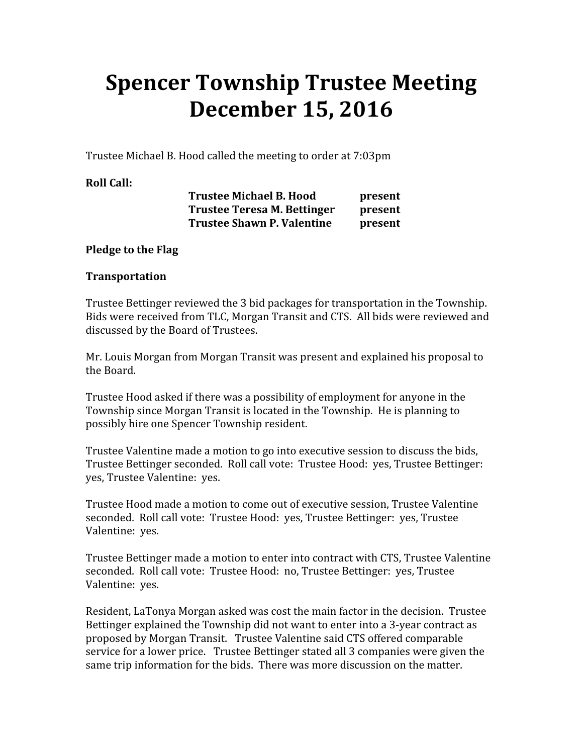# Spencer Township Trustee Meeting December 15, 2016

Trustee Michael B. Hood called the meeting to order at 7:03pm

# Roll Call:

| <b>Trustee Michael B. Hood</b>    | present |
|-----------------------------------|---------|
| Trustee Teresa M. Bettinger       | present |
| <b>Trustee Shawn P. Valentine</b> | present |

# Pledge to the Flag

#### Transportation

Trustee Bettinger reviewed the 3 bid packages for transportation in the Township. Bids were received from TLC, Morgan Transit and CTS. All bids were reviewed and discussed by the Board of Trustees.

Mr. Louis Morgan from Morgan Transit was present and explained his proposal to the Board.

Trustee Hood asked if there was a possibility of employment for anyone in the Township since Morgan Transit is located in the Township. He is planning to possibly hire one Spencer Township resident.

Trustee Valentine made a motion to go into executive session to discuss the bids, Trustee Bettinger seconded. Roll call vote: Trustee Hood: yes, Trustee Bettinger: yes, Trustee Valentine: yes.

Trustee Hood made a motion to come out of executive session, Trustee Valentine seconded. Roll call vote: Trustee Hood: yes, Trustee Bettinger: yes, Trustee Valentine: yes.

Trustee Bettinger made a motion to enter into contract with CTS, Trustee Valentine seconded. Roll call vote: Trustee Hood: no, Trustee Bettinger: yes, Trustee Valentine: yes.

Resident, LaTonya Morgan asked was cost the main factor in the decision. Trustee Bettinger explained the Township did not want to enter into a 3-year contract as proposed by Morgan Transit. Trustee Valentine said CTS offered comparable service for a lower price. Trustee Bettinger stated all 3 companies were given the same trip information for the bids. There was more discussion on the matter.